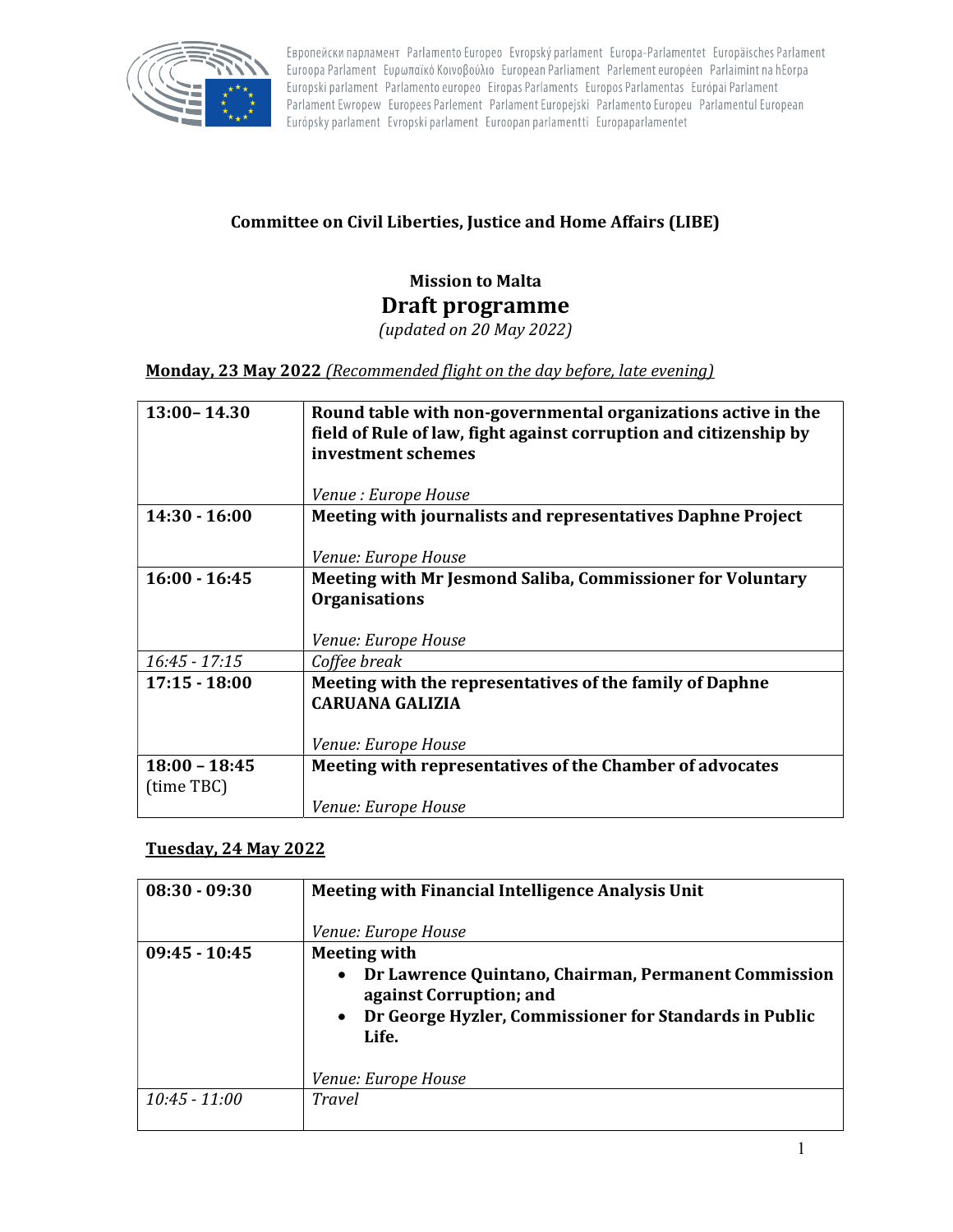

Европейски парламент Parlamento Europeo Evropský parlament Europa-Parlamentet Europäisches Parlament Euroopa Parlament Ευρωπαϊκό Κοινοβούλιο European Parliament Parlement européen Parlaimint na hEorpa Europski parlament Parlamento europeo Eiropas Parlaments Europos Parlamentas Európai Parlament Parlament Ewropew Europees Parlement Parlament Europejski Parlamento Europeu Parlamentul European Európsky parlament Evropski parlament Euroopan parlamentti Europaparlamentet

## Committee on Civil Liberties, Justice and Home Affairs (LIBE)

## Mission to Malta Draft programme

(updated on 20 May 2022)

Monday, 23 May 2022 (Recommended flight on the day before, late evening)

| $13:00 - 14.30$               | Round table with non-governmental organizations active in the<br>field of Rule of law, fight against corruption and citizenship by<br>investment schemes |
|-------------------------------|----------------------------------------------------------------------------------------------------------------------------------------------------------|
|                               | <i>Venue : Europe House</i>                                                                                                                              |
| $14:30 - 16:00$               | Meeting with journalists and representatives Daphne Project                                                                                              |
|                               | Venue: Europe House                                                                                                                                      |
| $16:00 - 16:45$               | Meeting with Mr Jesmond Saliba, Commissioner for Voluntary<br><b>Organisations</b><br><i>Venue: Europe House</i>                                         |
| $16:45 - 17:15$               | Coffee break                                                                                                                                             |
| $17:15 - 18:00$               | Meeting with the representatives of the family of Daphne<br><b>CARUANA GALIZIA</b><br>Venue: Europe House                                                |
| $18:00 - 18:45$<br>(time TBC) | Meeting with representatives of the Chamber of advocates                                                                                                 |
|                               | Venue: Europe House                                                                                                                                      |

## Tuesday, 24 May 2022

| $08:30 - 09:30$ | Meeting with Financial Intelligence Analysis Unit<br>Venue: Europe House                                                                                                                                                   |
|-----------------|----------------------------------------------------------------------------------------------------------------------------------------------------------------------------------------------------------------------------|
| $09:45 - 10:45$ | <b>Meeting with</b><br>Dr Lawrence Quintano, Chairman, Permanent Commission<br>$\bullet$<br>against Corruption; and<br>Dr George Hyzler, Commissioner for Standards in Public<br>$\bullet$<br>Life.<br>Venue: Europe House |
| $10:45 - 11:00$ | <b>Travel</b>                                                                                                                                                                                                              |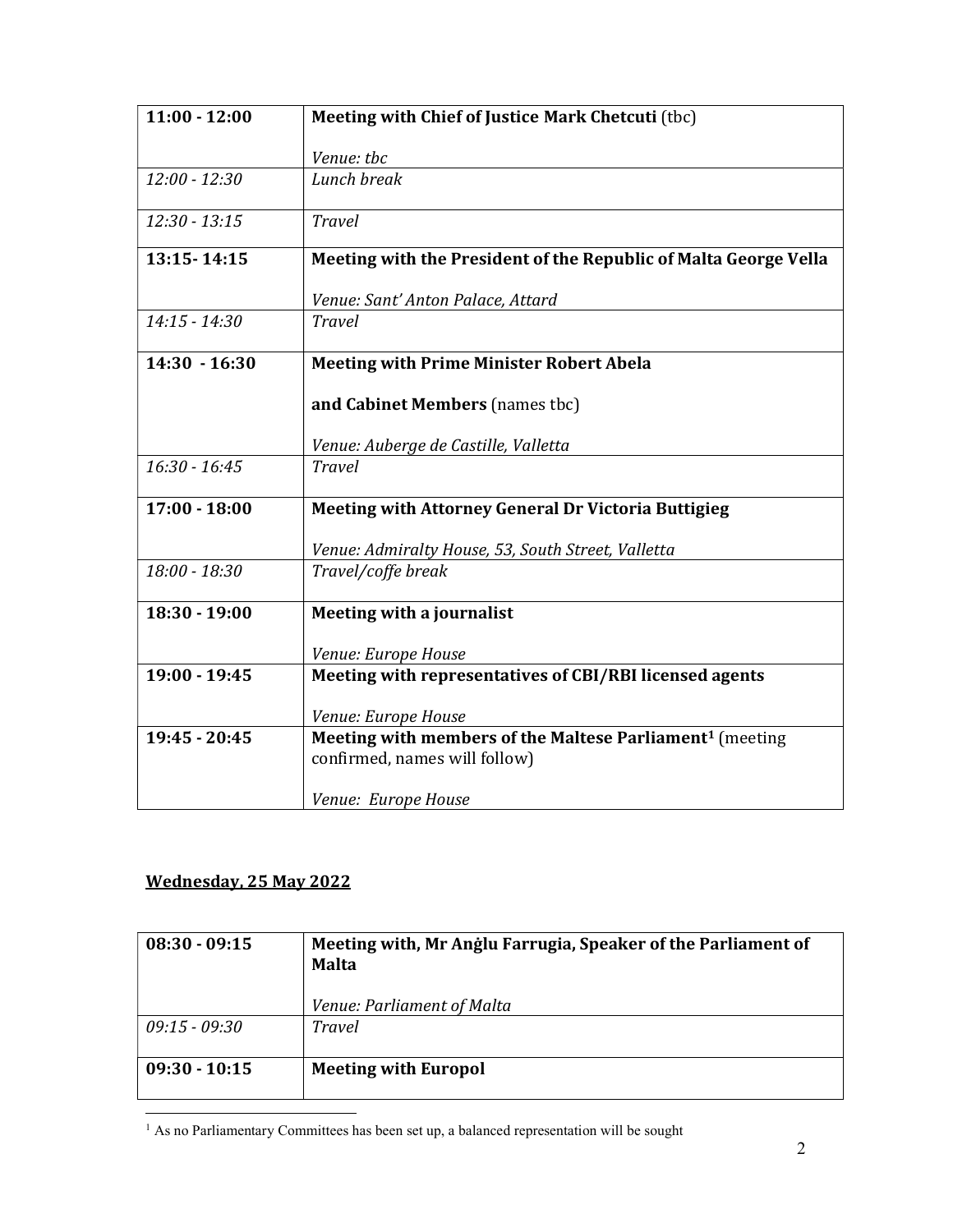| $11:00 - 12:00$ | Meeting with Chief of Justice Mark Chetcuti (tbc)                                                     |
|-----------------|-------------------------------------------------------------------------------------------------------|
|                 | Venue: tbc                                                                                            |
| $12:00 - 12:30$ | Lunch break                                                                                           |
| $12:30 - 13:15$ | <b>Travel</b>                                                                                         |
| 13:15-14:15     | Meeting with the President of the Republic of Malta George Vella                                      |
|                 | Venue: Sant' Anton Palace, Attard                                                                     |
| $14:15 - 14:30$ | Travel                                                                                                |
| $14:30 - 16:30$ | <b>Meeting with Prime Minister Robert Abela</b>                                                       |
|                 | and Cabinet Members (names tbc)                                                                       |
|                 | Venue: Auberge de Castille, Valletta                                                                  |
| $16:30 - 16:45$ | <b>Travel</b>                                                                                         |
| $17:00 - 18:00$ | <b>Meeting with Attorney General Dr Victoria Buttigieg</b>                                            |
|                 | Venue: Admiralty House, 53, South Street, Valletta                                                    |
| 18:00 - 18:30   | Travel/coffe break                                                                                    |
| $18:30 - 19:00$ | Meeting with a journalist                                                                             |
|                 | Venue: Europe House                                                                                   |
| 19:00 - 19:45   | Meeting with representatives of CBI/RBI licensed agents                                               |
|                 | Venue: Europe House                                                                                   |
| 19:45 - 20:45   | Meeting with members of the Maltese Parliament <sup>1</sup> (meeting<br>confirmed, names will follow) |
|                 | Venue: Europe House                                                                                   |

## Wednesday, 25 May 2022

| $08:30 - 09:15$ | Meeting with, Mr Anglu Farrugia, Speaker of the Parliament of<br><b>Malta</b> |
|-----------------|-------------------------------------------------------------------------------|
|                 | Venue: Parliament of Malta                                                    |
| $09:15 - 09:30$ | <b>Travel</b>                                                                 |
| $09:30 - 10:15$ | <b>Meeting with Europol</b>                                                   |

 1 As no Parliamentary Committees has been set up, a balanced representation will be sought